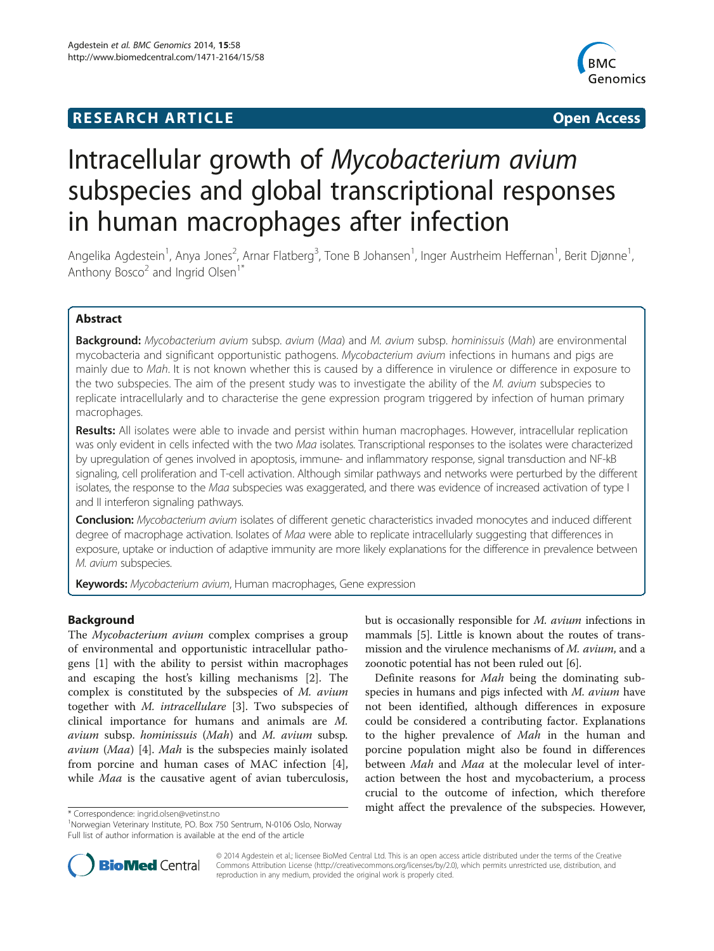## **RESEARCH ARTICLE Example 2014 CONSIDERING A RESEARCH ARTICLE**



# Intracellular growth of Mycobacterium avium subspecies and global transcriptional responses in human macrophages after infection

Angelika Agdestein<sup>1</sup>, Anya Jones<sup>2</sup>, Arnar Flatberg<sup>3</sup>, Tone B Johansen<sup>1</sup>, Inger Austrheim Heffernan<sup>1</sup>, Berit Djønne<sup>1</sup> , Anthony Bosco<sup>2</sup> and Ingrid Olsen<sup>1</sup><sup>\*</sup>

## Abstract

Background: Mycobacterium avium subsp. avium (Maa) and M. avium subsp. hominissuis (Mah) are environmental mycobacteria and significant opportunistic pathogens. Mycobacterium avium infections in humans and pigs are mainly due to Mah. It is not known whether this is caused by a difference in virulence or difference in exposure to the two subspecies. The aim of the present study was to investigate the ability of the M. avium subspecies to replicate intracellularly and to characterise the gene expression program triggered by infection of human primary macrophages.

Results: All isolates were able to invade and persist within human macrophages. However, intracellular replication was only evident in cells infected with the two Maa isolates. Transcriptional responses to the isolates were characterized by upregulation of genes involved in apoptosis, immune- and inflammatory response, signal transduction and NF-kB signaling, cell proliferation and T-cell activation. Although similar pathways and networks were perturbed by the different isolates, the response to the Maa subspecies was exaggerated, and there was evidence of increased activation of type I and II interferon signaling pathways.

Conclusion: Mycobacterium avium isolates of different genetic characteristics invaded monocytes and induced different degree of macrophage activation. Isolates of *Maa* were able to replicate intracellularly suggesting that differences in exposure, uptake or induction of adaptive immunity are more likely explanations for the difference in prevalence between M. avium subspecies.

Keywords: Mycobacterium avium, Human macrophages, Gene expression

## Background

The Mycobacterium avium complex comprises a group of environmental and opportunistic intracellular pathogens [\[1](#page-12-0)] with the ability to persist within macrophages and escaping the host's killing mechanisms [\[2\]](#page-12-0). The complex is constituted by the subspecies of M. avium together with M. intracellulare [[3\]](#page-12-0). Two subspecies of clinical importance for humans and animals are M. avium subsp. hominissuis (Mah) and M. avium subsp. avium (Maa) [[4\]](#page-12-0). Mah is the subspecies mainly isolated from porcine and human cases of MAC infection [\[4](#page-12-0)], while *Maa* is the causative agent of avian tuberculosis,

but is occasionally responsible for M. avium infections in mammals [[5\]](#page-12-0). Little is known about the routes of transmission and the virulence mechanisms of M. avium, and a zoonotic potential has not been ruled out [\[6](#page-12-0)].

Definite reasons for Mah being the dominating subspecies in humans and pigs infected with M. avium have not been identified, although differences in exposure could be considered a contributing factor. Explanations to the higher prevalence of Mah in the human and porcine population might also be found in differences between Mah and Maa at the molecular level of interaction between the host and mycobacterium, a process crucial to the outcome of infection, which therefore \* Correspondence: [ingrid.olsen@vetinst.no](mailto:ingrid.olsen@vetinst.no) might affect the prevalence of the subspecies. However,



© 2014 Agdestein et al.; licensee BioMed Central Ltd. This is an open access article distributed under the terms of the Creative Commons Attribution License [\(http://creativecommons.org/licenses/by/2.0\)](http://creativecommons.org/licenses/by/2.0), which permits unrestricted use, distribution, and reproduction in any medium, provided the original work is properly cited.

<sup>&</sup>lt;sup>1</sup>Norwegian Veterinary Institute, PO. Box 750 Sentrum, N-0106 Oslo, Norway Full list of author information is available at the end of the article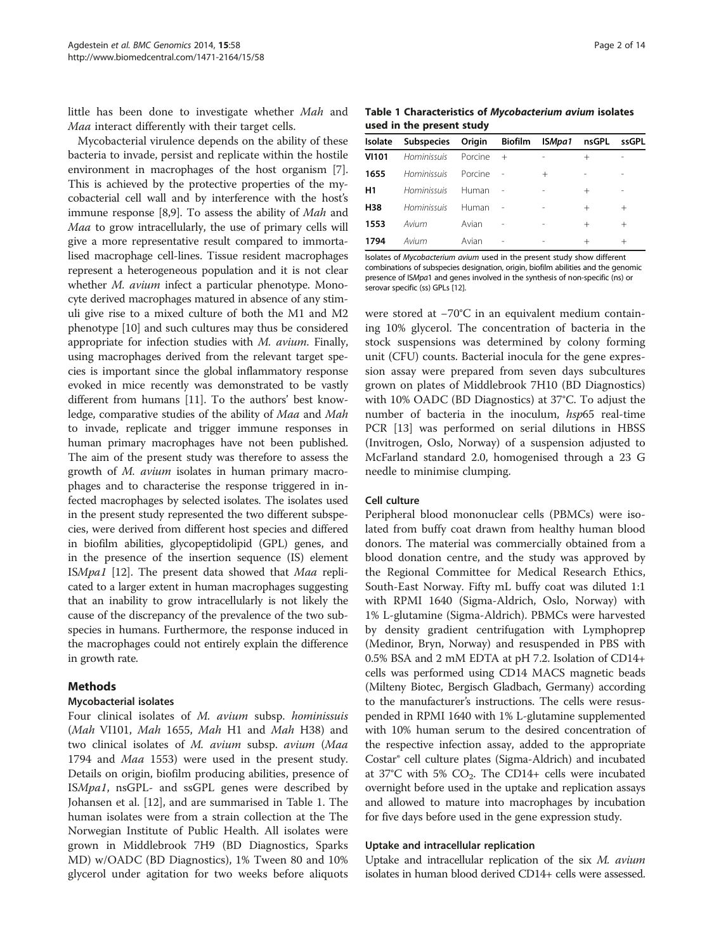little has been done to investigate whether Mah and Maa interact differently with their target cells.

Mycobacterial virulence depends on the ability of these bacteria to invade, persist and replicate within the hostile environment in macrophages of the host organism [[7](#page-12-0)]. This is achieved by the protective properties of the mycobacterial cell wall and by interference with the host's immune response [\[8,9](#page-12-0)]. To assess the ability of Mah and Maa to grow intracellularly, the use of primary cells will give a more representative result compared to immortalised macrophage cell-lines. Tissue resident macrophages represent a heterogeneous population and it is not clear whether *M. avium* infect a particular phenotype. Monocyte derived macrophages matured in absence of any stimuli give rise to a mixed culture of both the M1 and M2 phenotype [[10](#page-12-0)] and such cultures may thus be considered appropriate for infection studies with M. avium. Finally, using macrophages derived from the relevant target species is important since the global inflammatory response evoked in mice recently was demonstrated to be vastly different from humans [\[11\]](#page-12-0). To the authors' best knowledge, comparative studies of the ability of Maa and Mah to invade, replicate and trigger immune responses in human primary macrophages have not been published. The aim of the present study was therefore to assess the growth of M. avium isolates in human primary macrophages and to characterise the response triggered in infected macrophages by selected isolates. The isolates used in the present study represented the two different subspecies, were derived from different host species and differed in biofilm abilities, glycopeptidolipid (GPL) genes, and in the presence of the insertion sequence (IS) element ISMpa1 [\[12\]](#page-12-0). The present data showed that Maa replicated to a larger extent in human macrophages suggesting that an inability to grow intracellularly is not likely the cause of the discrepancy of the prevalence of the two subspecies in humans. Furthermore, the response induced in the macrophages could not entirely explain the difference in growth rate.

## Methods

## Mycobacterial isolates

Four clinical isolates of M. avium subsp. hominissuis (*Mah* VI101, *Mah* 1655, *Mah* H1 and *Mah* H38) and two clinical isolates of M. avium subsp. avium (Maa 1794 and *Maa* 1553) were used in the present study. Details on origin, biofilm producing abilities, presence of ISMpa1, nsGPL- and ssGPL genes were described by Johansen et al. [[12\]](#page-12-0), and are summarised in Table 1. The human isolates were from a strain collection at the The Norwegian Institute of Public Health. All isolates were grown in Middlebrook 7H9 (BD Diagnostics, Sparks MD) w/OADC (BD Diagnostics), 1% Tween 80 and 10% glycerol under agitation for two weeks before aliquots

Table 1 Characteristics of Mycobacterium avium isolates used in the present study

|              | Isolate Subspecies Origin Biofilm |         |                          | ISMpa1 | nsGPL  | ssGPL  |
|--------------|-----------------------------------|---------|--------------------------|--------|--------|--------|
| <b>VI101</b> | Hominissuis                       | Porcine | $^{+}$                   |        | $^+$   |        |
| 1655         | Hominissuis                       | Porcine |                          | $^{+}$ |        |        |
| H1           | Hominissuis                       | Human   |                          |        | $^{+}$ |        |
| H38          | Hominissuis                       | Human   |                          |        | $^{+}$ | $^{+}$ |
| 1553         | Avium                             | Avian   | $\overline{\phantom{a}}$ |        | $^{+}$ | $^{+}$ |
| 1794         | Avium                             | Avian   |                          |        | $^{+}$ | $^+$   |
|              |                                   |         |                          |        |        |        |

Isolates of Mycobacterium avium used in the present study show different combinations of subspecies designation, origin, biofilm abilities and the genomic presence of ISMpa1 and genes involved in the synthesis of non-specific (ns) or serovar specific (ss) GPLs [[12\]](#page-12-0).

were stored at −70°C in an equivalent medium containing 10% glycerol. The concentration of bacteria in the stock suspensions was determined by colony forming unit (CFU) counts. Bacterial inocula for the gene expression assay were prepared from seven days subcultures grown on plates of Middlebrook 7H10 (BD Diagnostics) with 10% OADC (BD Diagnostics) at 37°C. To adjust the number of bacteria in the inoculum, hsp65 real-time PCR [[13](#page-12-0)] was performed on serial dilutions in HBSS (Invitrogen, Oslo, Norway) of a suspension adjusted to McFarland standard 2.0, homogenised through a 23 G needle to minimise clumping.

## Cell culture

Peripheral blood mononuclear cells (PBMCs) were isolated from buffy coat drawn from healthy human blood donors. The material was commercially obtained from a blood donation centre, and the study was approved by the Regional Committee for Medical Research Ethics, South-East Norway. Fifty mL buffy coat was diluted 1:1 with RPMI 1640 (Sigma-Aldrich, Oslo, Norway) with 1% L-glutamine (Sigma-Aldrich). PBMCs were harvested by density gradient centrifugation with Lymphoprep (Medinor, Bryn, Norway) and resuspended in PBS with 0.5% BSA and 2 mM EDTA at pH 7.2. Isolation of CD14+ cells was performed using CD14 MACS magnetic beads (Milteny Biotec, Bergisch Gladbach, Germany) according to the manufacturer's instructions. The cells were resuspended in RPMI 1640 with 1% L-glutamine supplemented with 10% human serum to the desired concentration of the respective infection assay, added to the appropriate Costar® cell culture plates (Sigma-Aldrich) and incubated at 37°C with 5%  $CO<sub>2</sub>$ . The CD14+ cells were incubated overnight before used in the uptake and replication assays and allowed to mature into macrophages by incubation for five days before used in the gene expression study.

## Uptake and intracellular replication

Uptake and intracellular replication of the six M. avium isolates in human blood derived CD14+ cells were assessed.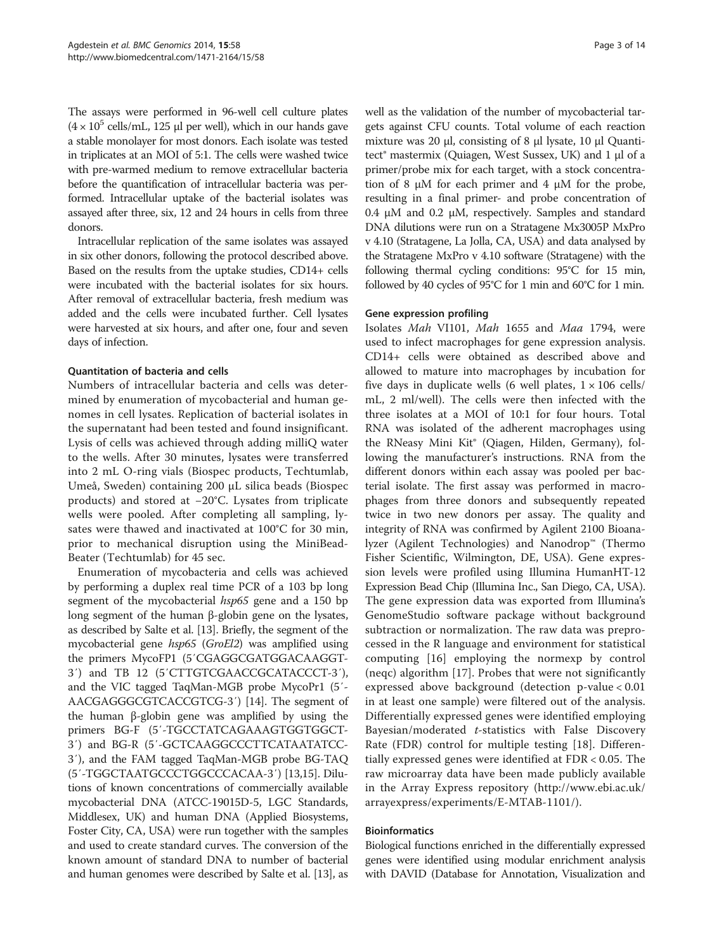The assays were performed in 96-well cell culture plates  $(4 \times 10^5 \text{ cells/mL}, 125 \mu \text{ per well})$ , which in our hands gave a stable monolayer for most donors. Each isolate was tested in triplicates at an MOI of 5:1. The cells were washed twice with pre-warmed medium to remove extracellular bacteria before the quantification of intracellular bacteria was performed. Intracellular uptake of the bacterial isolates was assayed after three, six, 12 and 24 hours in cells from three donors.

Intracellular replication of the same isolates was assayed in six other donors, following the protocol described above. Based on the results from the uptake studies, CD14+ cells were incubated with the bacterial isolates for six hours. After removal of extracellular bacteria, fresh medium was added and the cells were incubated further. Cell lysates were harvested at six hours, and after one, four and seven days of infection.

## Quantitation of bacteria and cells

Numbers of intracellular bacteria and cells was determined by enumeration of mycobacterial and human genomes in cell lysates. Replication of bacterial isolates in the supernatant had been tested and found insignificant. Lysis of cells was achieved through adding milliQ water to the wells. After 30 minutes, lysates were transferred into 2 mL O-ring vials (Biospec products, Techtumlab, Umeå, Sweden) containing 200 μL silica beads (Biospec products) and stored at −20°C. Lysates from triplicate wells were pooled. After completing all sampling, lysates were thawed and inactivated at 100°C for 30 min, prior to mechanical disruption using the MiniBead-Beater (Techtumlab) for 45 sec.

Enumeration of mycobacteria and cells was achieved by performing a duplex real time PCR of a 103 bp long segment of the mycobacterial  $hsp65$  gene and a 150 bp long segment of the human β-globin gene on the lysates, as described by Salte et al. [\[13](#page-12-0)]. Briefly, the segment of the mycobacterial gene hsp65 (GroEl2) was amplified using the primers MycoFP1 (5′CGAGGCGATGGACAAGGT-3′) and TB 12 (5′CTTGTCGAACCGCATACCCT-3′), and the VIC tagged TaqMan-MGB probe MycoPr1 (5′- AACGAGGGCGTCACCGTCG-3′) [[14\]](#page-12-0). The segment of the human β-globin gene was amplified by using the primers BG-F (5′-TGCCTATCAGAAAGTGGTGGCT-3′) and BG-R (5′-GCTCAAGGCCCTTCATAATATCC-3′), and the FAM tagged TaqMan-MGB probe BG-TAQ (5′-TGGCTAATGCCCTGGCCCACAA-3′) [[13,15\]](#page-12-0). Dilutions of known concentrations of commercially available mycobacterial DNA (ATCC-19015D-5, LGC Standards, Middlesex, UK) and human DNA (Applied Biosystems, Foster City, CA, USA) were run together with the samples and used to create standard curves. The conversion of the known amount of standard DNA to number of bacterial and human genomes were described by Salte et al. [[13](#page-12-0)], as well as the validation of the number of mycobacterial targets against CFU counts. Total volume of each reaction mixture was 20 μl, consisting of 8 μl lysate, 10 μl Quantitect® mastermix (Quiagen, West Sussex, UK) and 1 μl of a primer/probe mix for each target, with a stock concentration of 8 μM for each primer and 4 μM for the probe, resulting in a final primer- and probe concentration of 0.4 μM and 0.2 μM, respectively. Samples and standard DNA dilutions were run on a Stratagene Mx3005P MxPro v 4.10 (Stratagene, La Jolla, CA, USA) and data analysed by the Stratagene MxPro v 4.10 software (Stratagene) with the following thermal cycling conditions: 95°C for 15 min, followed by 40 cycles of 95°C for 1 min and 60°C for 1 min.

## Gene expression profiling

Isolates Mah VI101, Mah 1655 and Maa 1794, were used to infect macrophages for gene expression analysis. CD14+ cells were obtained as described above and allowed to mature into macrophages by incubation for five days in duplicate wells (6 well plates,  $1 \times 106$  cells/ mL, 2 ml/well). The cells were then infected with the three isolates at a MOI of 10:1 for four hours. Total RNA was isolated of the adherent macrophages using the RNeasy Mini Kit® (Qiagen, Hilden, Germany), following the manufacturer's instructions. RNA from the different donors within each assay was pooled per bacterial isolate. The first assay was performed in macrophages from three donors and subsequently repeated twice in two new donors per assay. The quality and integrity of RNA was confirmed by Agilent 2100 Bioanalyzer (Agilent Technologies) and Nanodrop™ (Thermo Fisher Scientific, Wilmington, DE, USA). Gene expression levels were profiled using Illumina HumanHT-12 Expression Bead Chip (Illumina Inc., San Diego, CA, USA). The gene expression data was exported from Illumina's GenomeStudio software package without background subtraction or normalization. The raw data was preprocessed in the R language and environment for statistical computing [\[16](#page-12-0)] employing the normexp by control (neqc) algorithm [\[17\]](#page-12-0). Probes that were not significantly expressed above background (detection p-value < 0.01 in at least one sample) were filtered out of the analysis. Differentially expressed genes were identified employing Bayesian/moderated *t*-statistics with False Discovery Rate (FDR) control for multiple testing [\[18](#page-12-0)]. Differentially expressed genes were identified at FDR < 0.05. The raw microarray data have been made publicly available in the Array Express repository ([http://www.ebi.ac.uk/](http://www.ebi.ac.uk/arrayexpress/experiments/E-MTAB-1101/) [arrayexpress/experiments/E-MTAB-1101/](http://www.ebi.ac.uk/arrayexpress/experiments/E-MTAB-1101/)).

## Bioinformatics

Biological functions enriched in the differentially expressed genes were identified using modular enrichment analysis with DAVID (Database for Annotation, Visualization and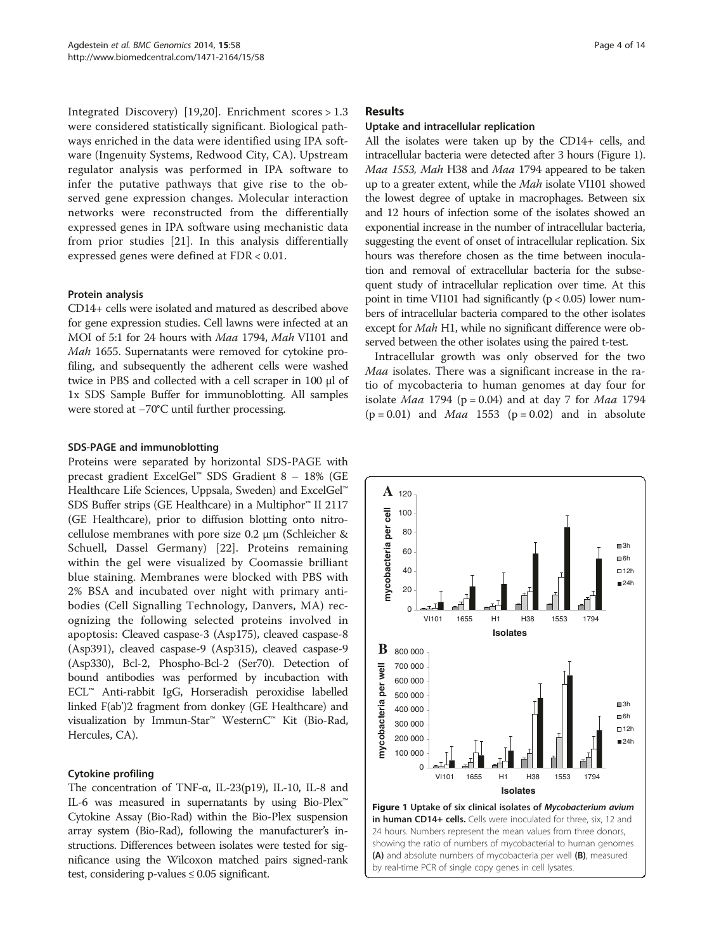Integrated Discovery) [[19,20\]](#page-12-0). Enrichment scores > 1.3 were considered statistically significant. Biological pathways enriched in the data were identified using IPA software (Ingenuity Systems, Redwood City, CA). Upstream regulator analysis was performed in IPA software to infer the putative pathways that give rise to the observed gene expression changes. Molecular interaction networks were reconstructed from the differentially expressed genes in IPA software using mechanistic data from prior studies [[21\]](#page-12-0). In this analysis differentially expressed genes were defined at FDR < 0.01.

## Protein analysis

CD14+ cells were isolated and matured as described above for gene expression studies. Cell lawns were infected at an MOI of 5:1 for 24 hours with Maa 1794, Mah VI101 and Mah 1655. Supernatants were removed for cytokine profiling, and subsequently the adherent cells were washed twice in PBS and collected with a cell scraper in 100 μl of 1x SDS Sample Buffer for immunoblotting. All samples were stored at −70°C until further processing.

## SDS-PAGE and immunoblotting

Proteins were separated by horizontal SDS-PAGE with precast gradient ExcelGel™ SDS Gradient 8 – 18% (GE Healthcare Life Sciences, Uppsala, Sweden) and ExcelGel™ SDS Buffer strips (GE Healthcare) in a Multiphor™ II 2117 (GE Healthcare), prior to diffusion blotting onto nitrocellulose membranes with pore size 0.2 μm (Schleicher & Schuell, Dassel Germany) [[22](#page-12-0)]. Proteins remaining within the gel were visualized by Coomassie brilliant blue staining. Membranes were blocked with PBS with 2% BSA and incubated over night with primary antibodies (Cell Signalling Technology, Danvers, MA) recognizing the following selected proteins involved in apoptosis: Cleaved caspase-3 (Asp175), cleaved caspase-8 (Asp391), cleaved caspase-9 (Asp315), cleaved caspase-9 (Asp330), Bcl-2, Phospho-Bcl-2 (Ser70). Detection of bound antibodies was performed by incubaction with ECL™ Anti-rabbit IgG, Horseradish peroxidise labelled linked F(ab')2 fragment from donkey (GE Healthcare) and visualization by Immun-Star™ WesternC™ Kit (Bio-Rad, Hercules, CA).

## Cytokine profiling

The concentration of TNF-α, IL-23(p19), IL-10, IL-8 and IL-6 was measured in supernatants by using Bio-Plex™ Cytokine Assay (Bio-Rad) within the Bio-Plex suspension array system (Bio-Rad), following the manufacturer's instructions. Differences between isolates were tested for significance using the Wilcoxon matched pairs signed-rank test, considering p-values ≤ 0.05 significant.

## Results

## Uptake and intracellular replication

All the isolates were taken up by the CD14+ cells, and intracellular bacteria were detected after 3 hours (Figure 1). Maa 1553, Mah H38 and Maa 1794 appeared to be taken up to a greater extent, while the *Mah* isolate VI101 showed the lowest degree of uptake in macrophages. Between six and 12 hours of infection some of the isolates showed an exponential increase in the number of intracellular bacteria, suggesting the event of onset of intracellular replication. Six hours was therefore chosen as the time between inoculation and removal of extracellular bacteria for the subsequent study of intracellular replication over time. At this point in time VI101 had significantly  $(p < 0.05)$  lower numbers of intracellular bacteria compared to the other isolates except for Mah H1, while no significant difference were observed between the other isolates using the paired t-test.

Intracellular growth was only observed for the two Maa isolates. There was a significant increase in the ratio of mycobacteria to human genomes at day four for isolate *Maa* 1794 ( $p = 0.04$ ) and at day 7 for *Maa* 1794  $(p = 0.01)$  and *Maa* 1553  $(p = 0.02)$  and in absolute



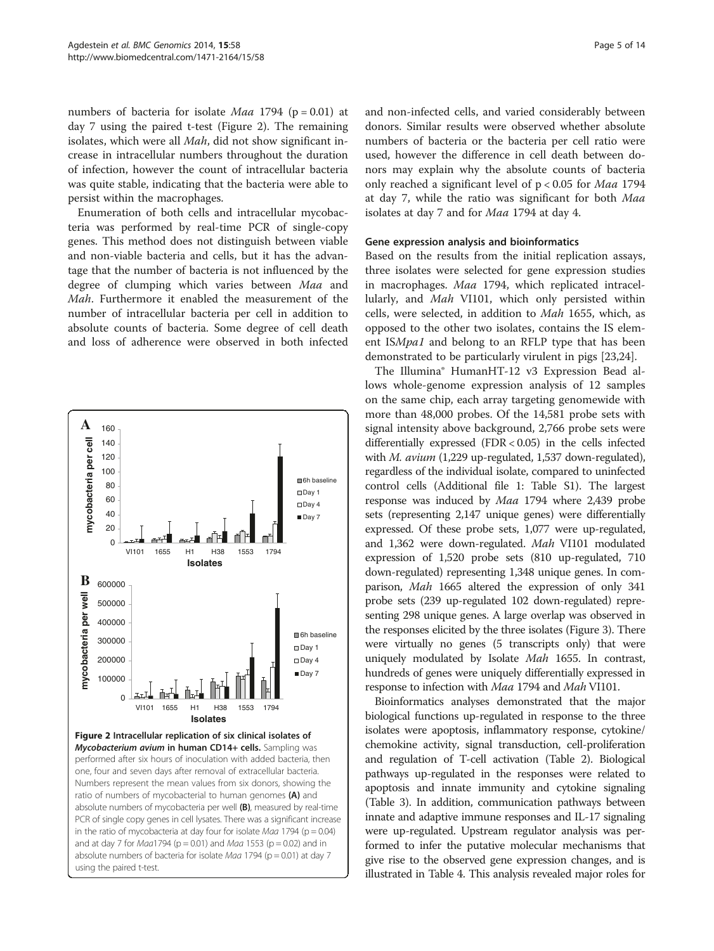numbers of bacteria for isolate *Maa* 1794 ( $p = 0.01$ ) at day 7 using the paired t-test (Figure 2). The remaining isolates, which were all Mah, did not show significant increase in intracellular numbers throughout the duration of infection, however the count of intracellular bacteria was quite stable, indicating that the bacteria were able to persist within the macrophages.

Enumeration of both cells and intracellular mycobacteria was performed by real-time PCR of single-copy genes. This method does not distinguish between viable and non-viable bacteria and cells, but it has the advantage that the number of bacteria is not influenced by the degree of clumping which varies between Maa and Mah. Furthermore it enabled the measurement of the number of intracellular bacteria per cell in addition to absolute counts of bacteria. Some degree of cell death and loss of adherence were observed in both infected



Figure 2 Intracellular replication of six clinical isolates of Mycobacterium avium in human CD14+ cells. Sampling was performed after six hours of inoculation with added bacteria, then one, four and seven days after removal of extracellular bacteria. Numbers represent the mean values from six donors, showing the ratio of numbers of mycobacterial to human genomes (A) and absolute numbers of mycobacteria per well (B), measured by real-time PCR of single copy genes in cell lysates. There was a significant increase in the ratio of mycobacteria at day four for isolate  $Maa$  1794 ( $p = 0.04$ ) and at day 7 for  $Maa1794$  (p = 0.01) and  $Maa1553$  (p = 0.02) and in absolute numbers of bacteria for isolate Maa 1794 ( $p = 0.01$ ) at day 7 using the paired t-test.

and non-infected cells, and varied considerably between donors. Similar results were observed whether absolute numbers of bacteria or the bacteria per cell ratio were used, however the difference in cell death between donors may explain why the absolute counts of bacteria only reached a significant level of p < 0.05 for Maa 1794 at day 7, while the ratio was significant for both Maa isolates at day 7 and for Maa 1794 at day 4.

## Gene expression analysis and bioinformatics

Based on the results from the initial replication assays, three isolates were selected for gene expression studies in macrophages. Maa 1794, which replicated intracellularly, and Mah VI101, which only persisted within cells, were selected, in addition to Mah 1655, which, as opposed to the other two isolates, contains the IS element ISMpa1 and belong to an RFLP type that has been demonstrated to be particularly virulent in pigs [[23](#page-12-0),[24](#page-12-0)].

The Illumina® HumanHT-12 v3 Expression Bead allows whole-genome expression analysis of 12 samples on the same chip, each array targeting genomewide with more than 48,000 probes. Of the 14,581 probe sets with signal intensity above background, 2,766 probe sets were differentially expressed (FDR < 0.05) in the cells infected with M. avium (1,229 up-regulated, 1,537 down-regulated), regardless of the individual isolate, compared to uninfected control cells (Additional file [1](#page-11-0): Table S1). The largest response was induced by Maa 1794 where 2,439 probe sets (representing 2,147 unique genes) were differentially expressed. Of these probe sets, 1,077 were up-regulated, and 1,362 were down-regulated. Mah VI101 modulated expression of 1,520 probe sets (810 up-regulated, 710 down-regulated) representing 1,348 unique genes. In comparison, Mah 1665 altered the expression of only 341 probe sets (239 up-regulated 102 down-regulated) representing 298 unique genes. A large overlap was observed in the responses elicited by the three isolates (Figure [3](#page-5-0)). There were virtually no genes (5 transcripts only) that were uniquely modulated by Isolate Mah 1655. In contrast, hundreds of genes were uniquely differentially expressed in response to infection with Maa 1794 and Mah VI101.

Bioinformatics analyses demonstrated that the major biological functions up-regulated in response to the three isolates were apoptosis, inflammatory response, cytokine/ chemokine activity, signal transduction, cell-proliferation and regulation of T-cell activation (Table [2\)](#page-5-0). Biological pathways up-regulated in the responses were related to apoptosis and innate immunity and cytokine signaling (Table [3](#page-6-0)). In addition, communication pathways between innate and adaptive immune responses and IL-17 signaling were up-regulated. Upstream regulator analysis was performed to infer the putative molecular mechanisms that give rise to the observed gene expression changes, and is illustrated in Table [4](#page-8-0). This analysis revealed major roles for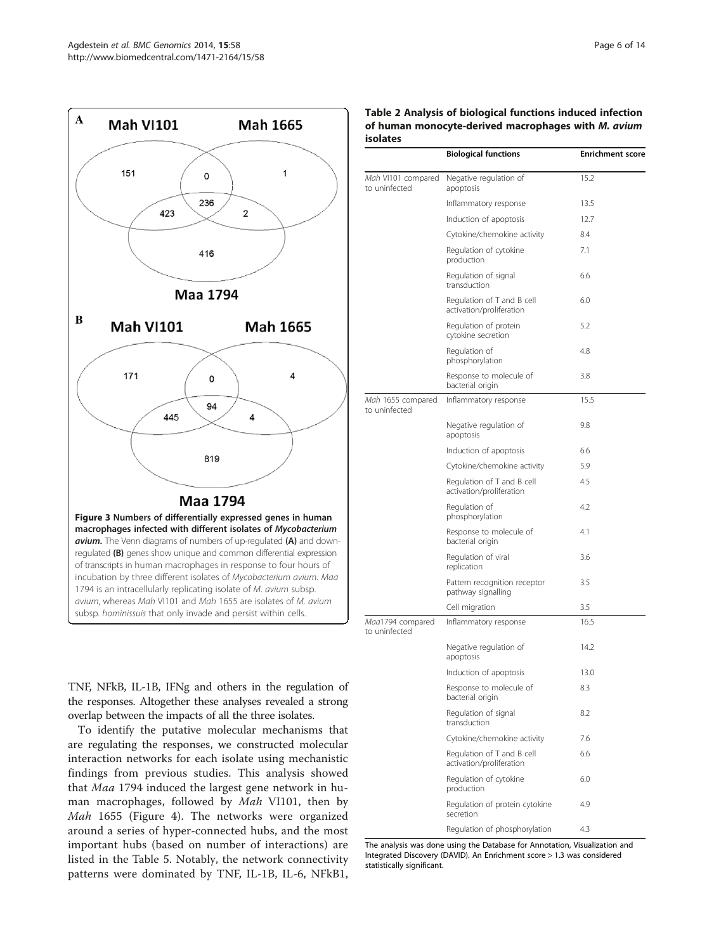<span id="page-5-0"></span>

TNF, NFkB, IL-1B, IFNg and others in the regulation of the responses. Altogether these analyses revealed a strong overlap between the impacts of all the three isolates.

To identify the putative molecular mechanisms that are regulating the responses, we constructed molecular interaction networks for each isolate using mechanistic findings from previous studies. This analysis showed that Maa 1794 induced the largest gene network in human macrophages, followed by Mah VI101, then by Mah 1655 (Figure [4\)](#page-9-0). The networks were organized around a series of hyper-connected hubs, and the most important hubs (based on number of interactions) are listed in the Table [5](#page-10-0). Notably, the network connectivity patterns were dominated by TNF, IL-1B, IL-6, NFkB1,

| Table 2 Analysis of biological functions induced infection |  |
|------------------------------------------------------------|--|
| of human monocyte-derived macrophages with M. avium        |  |
| <b>isolates</b>                                            |  |

|                                     | <b>Biological functions</b>                            | <b>Enrichment score</b> |
|-------------------------------------|--------------------------------------------------------|-------------------------|
| Mah VI101 compared<br>to uninfected | Negative regulation of<br>apoptosis                    | 15.2                    |
|                                     | Inflammatory response                                  | 13.5                    |
|                                     | Induction of apoptosis                                 | 12.7                    |
|                                     | Cytokine/chemokine activity                            | 8.4                     |
|                                     | Regulation of cytokine<br>production                   | 7.1                     |
|                                     | Regulation of signal<br>transduction                   | 6.6                     |
|                                     | Regulation of T and B cell<br>activation/proliferation | 6.0                     |
|                                     | Regulation of protein<br>cytokine secretion            | 5.2                     |
|                                     | Regulation of<br>phosphorylation                       | 4.8                     |
|                                     | Response to molecule of<br>bacterial origin            | 3.8                     |
| Mah 1655 compared<br>to uninfected  | Inflammatory response                                  | 15.5                    |
|                                     | Negative regulation of<br>apoptosis                    | 9.8                     |
|                                     | Induction of apoptosis                                 | 6.6                     |
|                                     | Cytokine/chemokine activity                            | 5.9                     |
|                                     | Regulation of T and B cell<br>activation/proliferation | 4.5                     |
|                                     | Regulation of<br>phosphorylation                       | 4.2                     |
|                                     | Response to molecule of<br>bacterial origin            | 4.1                     |
|                                     | Regulation of viral<br>replication                     | 3.6                     |
|                                     | Pattern recognition receptor<br>pathway signalling     | 3.5                     |
|                                     | Cell migration                                         | 3.5                     |
| Maa1794 compared<br>to uninfected   | Inflammatory response                                  | 16.5                    |
|                                     | Negative regulation of<br>apoptosis                    | 14.2                    |
|                                     | Induction of apoptosis                                 | 13.0                    |
|                                     | Response to molecule of<br>bacterial origin            | 8.3                     |
|                                     | Regulation of signal<br>transduction                   | 8.2                     |
|                                     | Cytokine/chemokine activity                            | 7.6                     |
|                                     | Regulation of T and B cell<br>activation/proliferation | 6.6                     |
|                                     | Regulation of cytokine<br>production                   | 6.0                     |
|                                     | Regulation of protein cytokine<br>secretion            | 4.9                     |
|                                     | Regulation of phosphorylation                          | 4.3                     |

The analysis was done using the Database for Annotation, Visualization and Integrated Discovery (DAVID). An Enrichment score > 1.3 was considered statistically significant.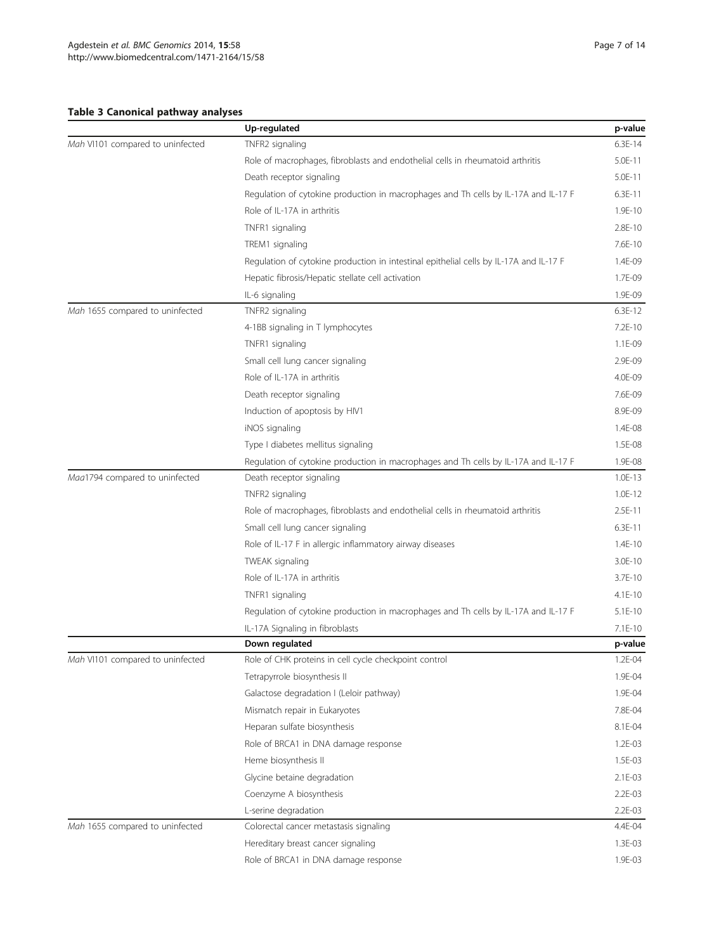## <span id="page-6-0"></span>Table 3 Canonical pathway analyses

|                                  | Up-regulated                                                                           | p-value     |
|----------------------------------|----------------------------------------------------------------------------------------|-------------|
| Mah VI101 compared to uninfected | TNFR2 signaling                                                                        | $6.3E-14$   |
|                                  | Role of macrophages, fibroblasts and endothelial cells in rheumatoid arthritis         |             |
|                                  | Death receptor signaling                                                               | 5.0E-11     |
|                                  | Regulation of cytokine production in macrophages and Th cells by IL-17A and IL-17 F    | $6.3E-11$   |
|                                  | Role of IL-17A in arthritis                                                            | 1.9E-10     |
|                                  | TNFR1 signaling                                                                        | 2.8E-10     |
|                                  | TREM1 signaling                                                                        | 7.6E-10     |
|                                  | Regulation of cytokine production in intestinal epithelial cells by IL-17A and IL-17 F | 1.4E-09     |
|                                  | Hepatic fibrosis/Hepatic stellate cell activation                                      | 1.7E-09     |
|                                  | IL-6 signaling                                                                         | 1.9E-09     |
| Mah 1655 compared to uninfected  | TNFR2 signaling                                                                        | $6.3E-12$   |
|                                  | 4-1BB signaling in T lymphocytes                                                       | 7.2E-10     |
|                                  | TNFR1 signaling                                                                        | 1.1E-09     |
|                                  | Small cell lung cancer signaling                                                       | 2.9E-09     |
|                                  | Role of IL-17A in arthritis                                                            | 4.0E-09     |
|                                  | Death receptor signaling                                                               | 7.6E-09     |
|                                  | Induction of apoptosis by HIV1                                                         | 8.9E-09     |
|                                  | iNOS signaling                                                                         |             |
|                                  | Type I diabetes mellitus signaling                                                     |             |
|                                  | Regulation of cytokine production in macrophages and Th cells by IL-17A and IL-17 F    | 1.9E-08     |
| Maa1794 compared to uninfected   | Death receptor signaling                                                               | $1.0E-13$   |
|                                  | TNFR2 signaling                                                                        | $1.0E-12$   |
|                                  | Role of macrophages, fibroblasts and endothelial cells in rheumatoid arthritis         | $2.5E-11$   |
|                                  | Small cell lung cancer signaling                                                       | $6.3E-11$   |
|                                  | Role of IL-17 F in allergic inflammatory airway diseases                               | $1.4E-10$   |
|                                  | TWEAK signaling                                                                        | 3.0E-10     |
|                                  | Role of IL-17A in arthritis                                                            | 3.7E-10     |
|                                  | TNFR1 signaling                                                                        | $4.1E-10$   |
|                                  | Regulation of cytokine production in macrophages and Th cells by IL-17A and IL-17 F    | $5.1E-10$   |
|                                  | IL-17A Signaling in fibroblasts                                                        | $7.1E-10$   |
|                                  | Down regulated                                                                         | p-value     |
| Mah VI101 compared to uninfected | Role of CHK proteins in cell cycle checkpoint control                                  | 1.2E-04     |
|                                  | Tetrapyrrole biosynthesis II                                                           | 1.9E-04     |
|                                  | Galactose degradation I (Leloir pathway)                                               | 1.9E-04     |
|                                  | Mismatch repair in Eukaryotes                                                          | 7.8E-04     |
|                                  | Heparan sulfate biosynthesis                                                           | 8.1E-04     |
|                                  | Role of BRCA1 in DNA damage response                                                   | $1.2E - 03$ |
|                                  | Heme biosynthesis II                                                                   | 1.5E-03     |
|                                  | Glycine betaine degradation                                                            | 2.1E-03     |
|                                  | Coenzyme A biosynthesis                                                                | $2.2E - 03$ |
|                                  | L-serine degradation                                                                   | 2.2E-03     |
| Mah 1655 compared to uninfected  | Colorectal cancer metastasis signaling                                                 | 4.4E-04     |
|                                  | Hereditary breast cancer signaling                                                     | 1.3E-03     |
|                                  | Role of BRCA1 in DNA damage response                                                   | 1.9E-03     |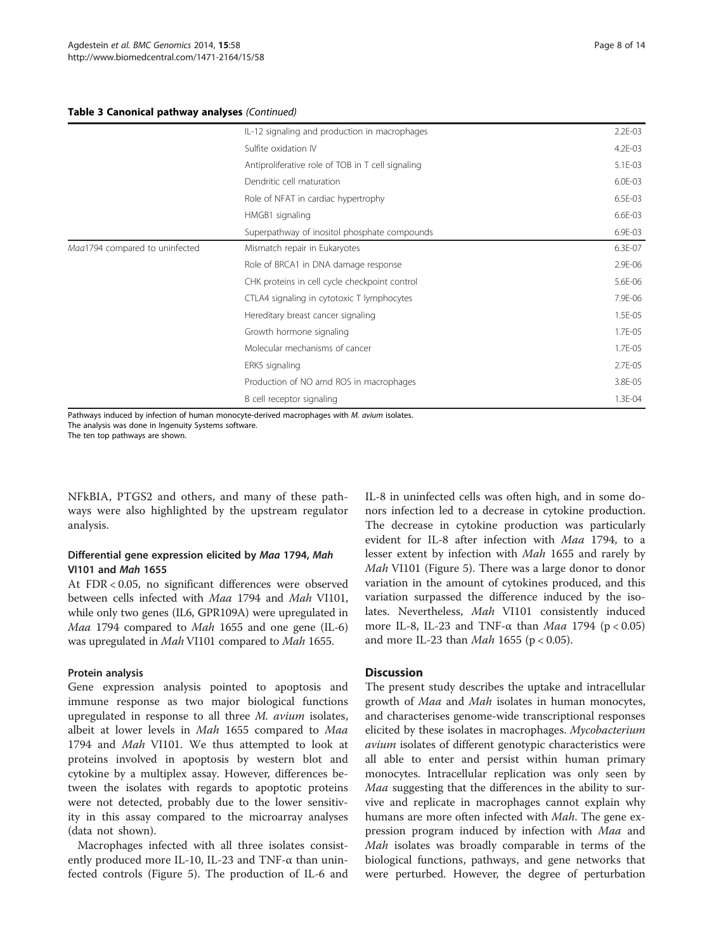#### Table 3 Canonical pathway analyses (Continued)

|                                | IL-12 signaling and production in macrophages     | $2.2E - 03$ |
|--------------------------------|---------------------------------------------------|-------------|
|                                | Sulfite oxidation IV                              | $4.2E - 03$ |
|                                | Antiproliferative role of TOB in T cell signaling | 5.1E-03     |
|                                | Dendritic cell maturation                         | 6.0E-03     |
|                                | Role of NFAT in cardiac hypertrophy               | 6.5E-03     |
|                                | HMGB1 signaling                                   | 6.6E-03     |
|                                | Superpathway of inositol phosphate compounds      | 6.9E-03     |
| Maa1794 compared to uninfected | Mismatch repair in Eukaryotes                     | 6.3E-07     |
|                                | Role of BRCA1 in DNA damage response              | 2.9E-06     |
|                                | CHK proteins in cell cycle checkpoint control     | 5.6E-06     |
|                                | CTLA4 signaling in cytotoxic T lymphocytes        | 7.9E-06     |
|                                | Hereditary breast cancer signaling                | 1.5E-05     |
|                                | Growth hormone signaling                          | 1.7E-05     |
|                                | Molecular mechanisms of cancer                    | 1.7E-05     |
|                                | ERK5 signaling                                    | 2.7E-05     |
|                                | Production of NO amd ROS in macrophages           | 3.8E-05     |
|                                | B cell receptor signaling                         | 1.3E-04     |
|                                |                                                   |             |

Pathways induced by infection of human monocyte-derived macrophages with M. avium isolates. The analysis was done in Ingenuity Systems software.

The ten top pathways are shown.

NFkBIA, PTGS2 and others, and many of these pathways were also highlighted by the upstream regulator analysis.

## Differential gene expression elicited by Maa 1794, Mah VI101 and Mah 1655

At FDR < 0.05, no significant differences were observed between cells infected with Maa 1794 and Mah VI101, while only two genes (IL6, GPR109A) were upregulated in Maa 1794 compared to Mah 1655 and one gene (IL-6) was upregulated in Mah VI101 compared to Mah 1655.

## Protein analysis

Gene expression analysis pointed to apoptosis and immune response as two major biological functions upregulated in response to all three M. avium isolates, albeit at lower levels in Mah 1655 compared to Maa 1794 and *Mah* VI101. We thus attempted to look at proteins involved in apoptosis by western blot and cytokine by a multiplex assay. However, differences between the isolates with regards to apoptotic proteins were not detected, probably due to the lower sensitivity in this assay compared to the microarray analyses (data not shown).

Macrophages infected with all three isolates consistently produced more IL-10, IL-23 and TNF-α than uninfected controls (Figure [5\)](#page-11-0). The production of IL-6 and IL-8 in uninfected cells was often high, and in some donors infection led to a decrease in cytokine production. The decrease in cytokine production was particularly evident for IL-8 after infection with Maa 1794, to a lesser extent by infection with Mah 1655 and rarely by Mah VI101 (Figure [5](#page-11-0)). There was a large donor to donor variation in the amount of cytokines produced, and this variation surpassed the difference induced by the isolates. Nevertheless, Mah VI101 consistently induced more IL-8, IL-23 and TNF- $\alpha$  than *Maa* 1794 (p < 0.05) and more IL-23 than  $Mah$  1655 (p < 0.05).

## **Discussion**

The present study describes the uptake and intracellular growth of *Maa* and *Mah* isolates in human monocytes, and characterises genome-wide transcriptional responses elicited by these isolates in macrophages. Mycobacterium avium isolates of different genotypic characteristics were all able to enter and persist within human primary monocytes. Intracellular replication was only seen by Maa suggesting that the differences in the ability to survive and replicate in macrophages cannot explain why humans are more often infected with *Mah*. The gene expression program induced by infection with Maa and Mah isolates was broadly comparable in terms of the biological functions, pathways, and gene networks that were perturbed. However, the degree of perturbation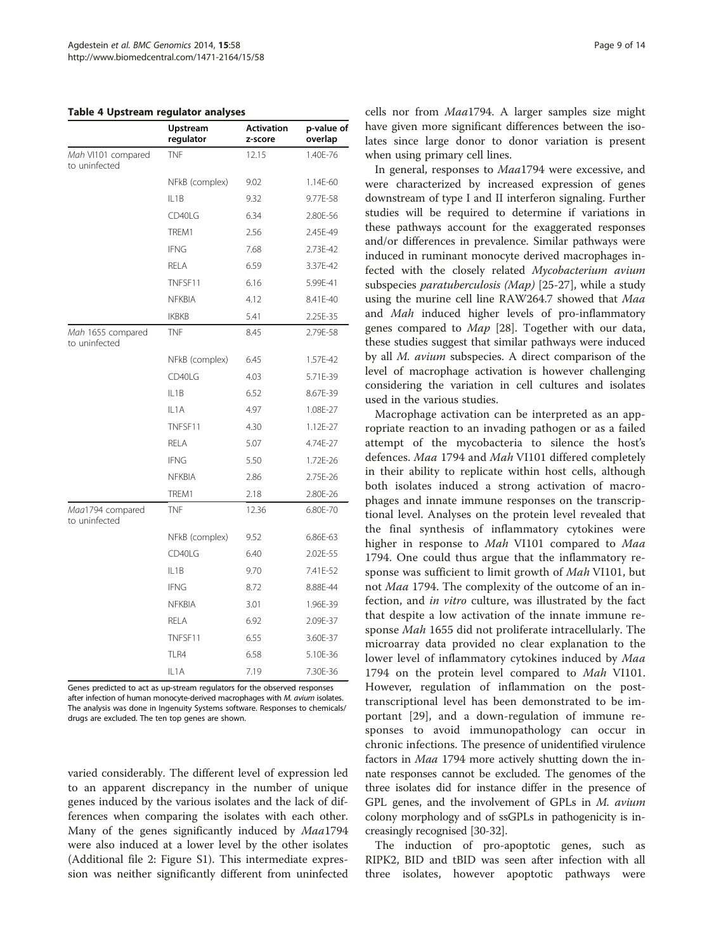#### <span id="page-8-0"></span>Table 4 Upstream regulator analyses

|                                     | Upstream<br>regulator | <b>Activation</b><br>z-score | p-value of<br>overlap |
|-------------------------------------|-----------------------|------------------------------|-----------------------|
| Mah VI101 compared<br>to uninfected | TNF                   | 12.15                        | 1.40E-76              |
|                                     | NFkB (complex)        | 9.02                         | 1.14E-60              |
|                                     | $II$ 1 $B$            | 9.32                         | 9.77E-58              |
|                                     | CD40LG                | 6.34                         | 2.80E-56              |
|                                     | TREM1                 | 2.56                         | 2.45E-49              |
|                                     | <b>IFNG</b>           | 7.68                         | 2.73E-42              |
|                                     | <b>RELA</b>           | 6.59                         | 3.37E-42              |
|                                     | TNFSF11               | 6.16                         | 5.99E-41              |
|                                     | <b>NFKBIA</b>         | 4.12                         | 8.41E-40              |
|                                     | <b>IKBKB</b>          | 5.41                         | 2.25E-35              |
| Mah 1655 compared<br>to uninfected  | <b>TNF</b>            | 8.45                         | 2.79E-58              |
|                                     | NFkB (complex)        | 6.45                         | 1.57E-42              |
|                                     | CD40LG                | 4.03                         | 5.71E-39              |
|                                     | IL1B                  | 6.52                         | 8.67E-39              |
|                                     | IL1A                  | 4.97                         | 1.08E-27              |
|                                     | TNFSF11               | 4.30                         | 1.12E-27              |
|                                     | RELA                  | 5.07                         | 4.74E-27              |
|                                     | <b>IFNG</b>           | 5.50                         | 1.72E-26              |
|                                     | <b>NFKBIA</b>         | 2.86                         | 2.75E-26              |
|                                     | TREM1                 | 2.18                         | 2.80E-26              |
| Maa1794 compared<br>to uninfected   | <b>TNF</b>            | 12.36                        | 6.80E-70              |
|                                     | NFkB (complex)        | 9.52                         | 6.86E-63              |
|                                     | CD40LG                | 6.40                         | 2.02E-55              |
|                                     | IL1B                  | 9.70                         | 7.41E-52              |
|                                     | <b>IFNG</b>           | 8.72                         | 8.88E-44              |
|                                     | <b>NFKBIA</b>         | 3.01                         | 1.96E-39              |
|                                     | <b>RELA</b>           | 6.92                         | 2.09E-37              |
|                                     | TNFSF11               | 6.55                         | 3.60E-37              |
|                                     | TLR4                  | 6.58                         | 5.10E-36              |
|                                     | IL1A                  | 7.19                         | 7.30E-36              |

Genes predicted to act as up-stream regulators for the observed responses after infection of human monocyte-derived macrophages with M. avium isolates. The analysis was done in Ingenuity Systems software. Responses to chemicals/ drugs are excluded. The ten top genes are shown.

varied considerably. The different level of expression led to an apparent discrepancy in the number of unique genes induced by the various isolates and the lack of differences when comparing the isolates with each other. Many of the genes significantly induced by Maa1794 were also induced at a lower level by the other isolates (Additional file [2](#page-11-0): Figure S1). This intermediate expression was neither significantly different from uninfected cells nor from Maa1794. A larger samples size might have given more significant differences between the isolates since large donor to donor variation is present when using primary cell lines.

In general, responses to Maa1794 were excessive, and were characterized by increased expression of genes downstream of type I and II interferon signaling. Further studies will be required to determine if variations in these pathways account for the exaggerated responses and/or differences in prevalence. Similar pathways were induced in ruminant monocyte derived macrophages infected with the closely related Mycobacterium avium subspecies *paratuberculosis (Map)* [[25](#page-12-0)-[27\]](#page-12-0), while a study using the murine cell line RAW264.7 showed that Maa and Mah induced higher levels of pro-inflammatory genes compared to Map [[28\]](#page-12-0). Together with our data, these studies suggest that similar pathways were induced by all M. avium subspecies. A direct comparison of the level of macrophage activation is however challenging considering the variation in cell cultures and isolates used in the various studies.

Macrophage activation can be interpreted as an appropriate reaction to an invading pathogen or as a failed attempt of the mycobacteria to silence the host's defences. Maa 1794 and Mah VI101 differed completely in their ability to replicate within host cells, although both isolates induced a strong activation of macrophages and innate immune responses on the transcriptional level. Analyses on the protein level revealed that the final synthesis of inflammatory cytokines were higher in response to Mah VI101 compared to Maa 1794. One could thus argue that the inflammatory response was sufficient to limit growth of Mah VI101, but not Maa 1794. The complexity of the outcome of an infection, and in vitro culture, was illustrated by the fact that despite a low activation of the innate immune response Mah 1655 did not proliferate intracellularly. The microarray data provided no clear explanation to the lower level of inflammatory cytokines induced by Maa 1794 on the protein level compared to Mah VI101. However, regulation of inflammation on the posttranscriptional level has been demonstrated to be important [[29\]](#page-12-0), and a down-regulation of immune responses to avoid immunopathology can occur in chronic infections. The presence of unidentified virulence factors in Maa 1794 more actively shutting down the innate responses cannot be excluded. The genomes of the three isolates did for instance differ in the presence of GPL genes, and the involvement of GPLs in M. avium colony morphology and of ssGPLs in pathogenicity is increasingly recognised [\[30](#page-12-0)-[32](#page-12-0)].

The induction of pro-apoptotic genes, such as RIPK2, BID and tBID was seen after infection with all three isolates, however apoptotic pathways were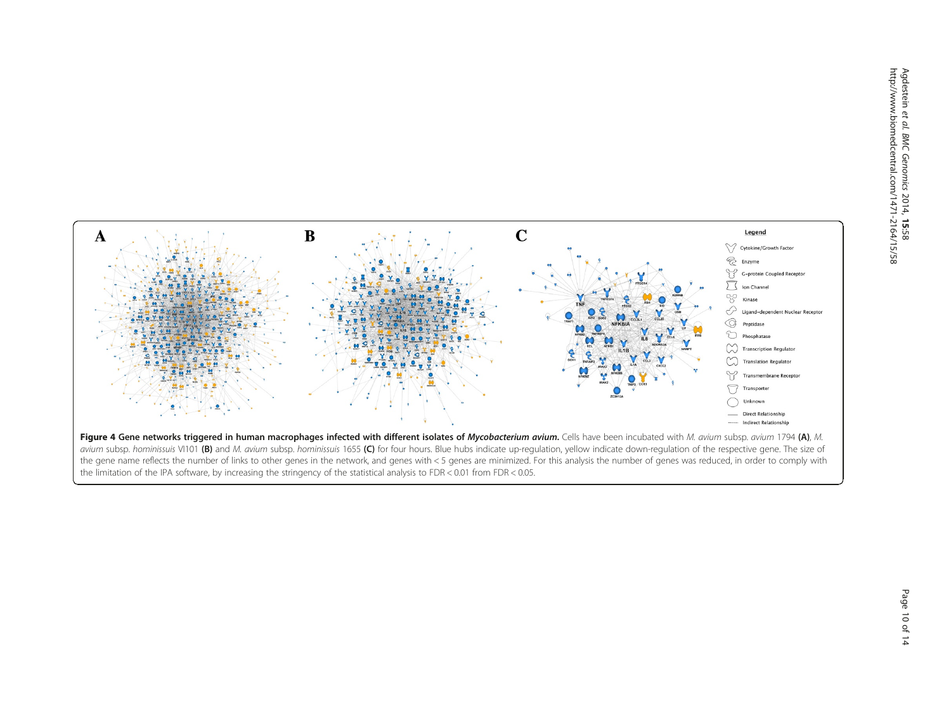<span id="page-9-0"></span>

avium subsp. hominissuis VI101 (B) and M. avium subsp. hominissuis 1655 (C) for four hours. Blue hubs indicate up-regulation, yellow indicate down-regulation of the respective gene. The size of the gene name reflects the number of links to other genes in the network, and genes with < 5 genes are minimized. For this analysis the number of genes was reduced, in order to comply with the limitation of the IPA software, by increasing the stringency of the statistical analysis to FDR < 0.01 from FDR < 0.05.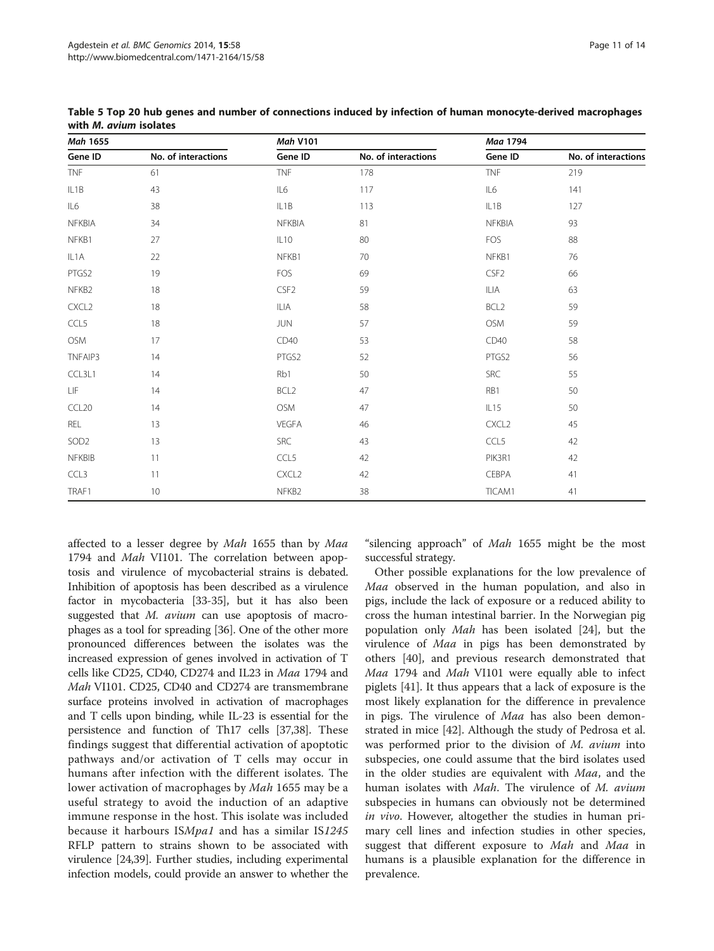| <b>Mah 1655</b>   |                     | <b>Mah V101</b>   |                     | Maa 1794          |                     |
|-------------------|---------------------|-------------------|---------------------|-------------------|---------------------|
| Gene ID           | No. of interactions | Gene ID           | No. of interactions | Gene ID           | No. of interactions |
| <b>TNF</b>        | 61                  | <b>TNF</b>        | 178                 | <b>TNF</b>        | 219                 |
| IL1B              | 43                  | IL6               | 117                 | IL6               | 141                 |
| IL6               | 38                  | IL <sub>1</sub> B | 113                 | IL1B              | 127                 |
| NFKBIA            | 34                  | NFKBIA            | 81                  | <b>NFKBIA</b>     | 93                  |
| NFKB1             | 27                  | IL10              | 80                  | FOS               | 88                  |
| IL1A              | 22                  | NFKB1             | 70                  | NFKB1             | 76                  |
| PTGS2             | 19                  | <b>FOS</b>        | 69                  | CSF <sub>2</sub>  | 66                  |
| NFKB2             | 18                  | CSF <sub>2</sub>  | 59                  | ILIA              | 63                  |
| CXCL <sub>2</sub> | 18                  | ILIA              | 58                  | BCL <sub>2</sub>  | 59                  |
| CCL5              | 18                  | <b>JUN</b>        | 57                  | <b>OSM</b>        | 59                  |
| OSM               | 17                  | CD40              | 53                  | CD40              | 58                  |
| TNFAIP3           | 14                  | PTGS2             | 52                  | PTGS2             | 56                  |
| CCL3L1            | 14                  | Rb1               | 50                  | SRC               | 55                  |
| LIF               | 14                  | BCL <sub>2</sub>  | 47                  | RB1               | 50                  |
| CCL <sub>20</sub> | 14                  | OSM               | 47                  | IL15              | 50                  |
| REL               | 13                  | VEGFA             | 46                  | CXCL <sub>2</sub> | 45                  |
| SOD <sub>2</sub>  | 13                  | <b>SRC</b>        | 43                  | CCL5              | 42                  |
| <b>NFKBIB</b>     | 11                  | CCL5              | 42                  | PIK3R1            | 42                  |
| CCL3              | 11                  | CXCL <sub>2</sub> | 42                  | CEBPA             | 41                  |
| TRAF1             | 10                  | NFKB <sub>2</sub> | 38                  | TICAM1            | 41                  |

<span id="page-10-0"></span>Table 5 Top 20 hub genes and number of connections induced by infection of human monocyte-derived macrophages with M. avium isolates

affected to a lesser degree by Mah 1655 than by Maa 1794 and Mah VI101. The correlation between apoptosis and virulence of mycobacterial strains is debated. Inhibition of apoptosis has been described as a virulence factor in mycobacteria [\[33-35\]](#page-12-0), but it has also been suggested that M. avium can use apoptosis of macrophages as a tool for spreading [[36](#page-12-0)]. One of the other more pronounced differences between the isolates was the increased expression of genes involved in activation of T cells like CD25, CD40, CD274 and IL23 in Maa 1794 and Mah VI101. CD25, CD40 and CD274 are transmembrane surface proteins involved in activation of macrophages and T cells upon binding, while IL-23 is essential for the persistence and function of Th17 cells [\[37](#page-12-0)[,38\]](#page-13-0). These findings suggest that differential activation of apoptotic pathways and/or activation of T cells may occur in humans after infection with the different isolates. The lower activation of macrophages by Mah 1655 may be a useful strategy to avoid the induction of an adaptive immune response in the host. This isolate was included because it harbours ISMpa1 and has a similar IS1245 RFLP pattern to strains shown to be associated with virulence [[24](#page-12-0),[39](#page-13-0)]. Further studies, including experimental infection models, could provide an answer to whether the

"silencing approach" of Mah 1655 might be the most successful strategy.

Other possible explanations for the low prevalence of Maa observed in the human population, and also in pigs, include the lack of exposure or a reduced ability to cross the human intestinal barrier. In the Norwegian pig population only Mah has been isolated [[24\]](#page-12-0), but the virulence of Maa in pigs has been demonstrated by others [\[40\]](#page-13-0), and previous research demonstrated that Maa 1794 and Mah VI101 were equally able to infect piglets [\[41](#page-13-0)]. It thus appears that a lack of exposure is the most likely explanation for the difference in prevalence in pigs. The virulence of Maa has also been demonstrated in mice [\[42](#page-13-0)]. Although the study of Pedrosa et al. was performed prior to the division of M. avium into subspecies, one could assume that the bird isolates used in the older studies are equivalent with Maa, and the human isolates with Mah. The virulence of M. avium subspecies in humans can obviously not be determined in vivo. However, altogether the studies in human primary cell lines and infection studies in other species, suggest that different exposure to *Mah* and *Maa* in humans is a plausible explanation for the difference in prevalence.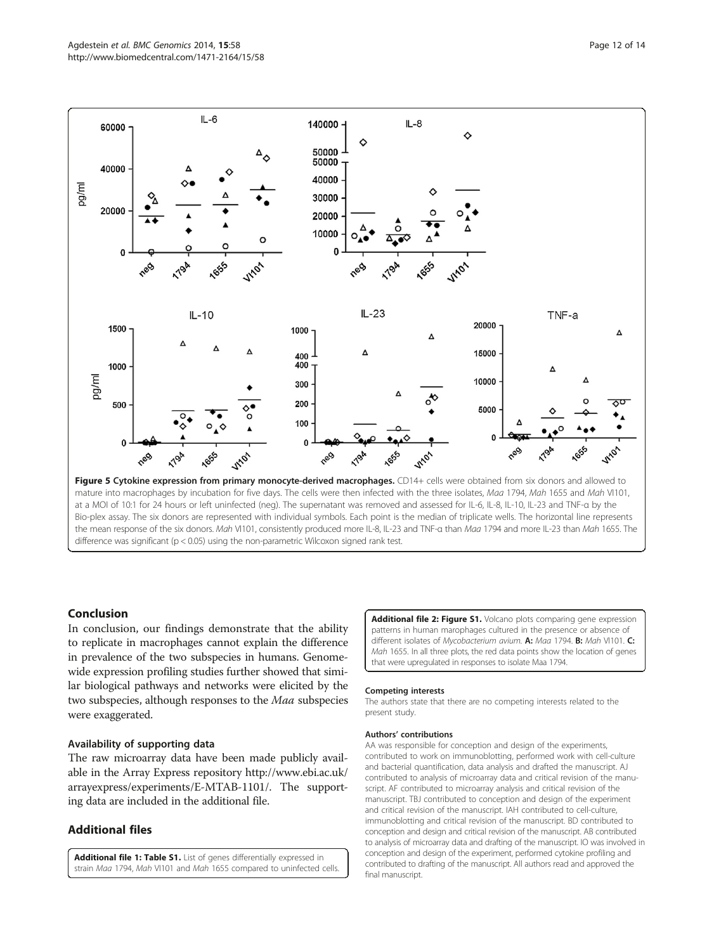<span id="page-11-0"></span>

mature into macrophages by incubation for five days. The cells were then infected with the three isolates, Maa 1794, Mah 1655 and Mah VI101, at a MOI of 10:1 for 24 hours or left uninfected (neg). The supernatant was removed and assessed for IL-6, IL-8, IL-10, IL-23 and TNF-α by the Bio-plex assay. The six donors are represented with individual symbols. Each point is the median of triplicate wells. The horizontal line represents the mean response of the six donors. Mah VI101, consistently produced more IL-8, IL-23 and TNF-a than Maa 1794 and more IL-23 than Mah 1655. The difference was significant (p < 0.05) using the non-parametric Wilcoxon signed rank test.

## Conclusion

In conclusion, our findings demonstrate that the ability to replicate in macrophages cannot explain the difference in prevalence of the two subspecies in humans. Genomewide expression profiling studies further showed that similar biological pathways and networks were elicited by the two subspecies, although responses to the Maa subspecies were exaggerated.

## Availability of supporting data

The raw microarray data have been made publicly available in the Array Express repository [http://www.ebi.ac.uk/](http://www.ebi.ac.uk/arrayexpress/experiments/E-MTAB-1101/) [arrayexpress/experiments/E-MTAB-1101/.](http://www.ebi.ac.uk/arrayexpress/experiments/E-MTAB-1101/) The supporting data are included in the additional file.

## Additional files

[Additional file 1: Table S1.](http://www.biomedcentral.com/content/supplementary/1471-2164-15-58-S1.xlsx) List of genes differentially expressed in strain Maa 1794, Mah VI101 and Mah 1655 compared to uninfected cells. [Additional file 2: Figure S1.](http://www.biomedcentral.com/content/supplementary/1471-2164-15-58-S2.pdf) Volcano plots comparing gene expression patterns in human marophages cultured in the presence or absence of different isolates of Mycobacterium avium. A: Maa 1794. B: Mah VI101. C: Mah 1655. In all three plots, the red data points show the location of genes that were upregulated in responses to isolate Maa 1794.

#### Competing interests

The authors state that there are no competing interests related to the present study.

#### Authors' contributions

AA was responsible for conception and design of the experiments, contributed to work on immunoblotting, performed work with cell-culture and bacterial quantification, data analysis and drafted the manuscript. AJ contributed to analysis of microarray data and critical revision of the manuscript. AF contributed to microarray analysis and critical revision of the manuscript. TBJ contributed to conception and design of the experiment and critical revision of the manuscript. IAH contributed to cell-culture, immunoblotting and critical revision of the manuscript. BD contributed to conception and design and critical revision of the manuscript. AB contributed to analysis of microarray data and drafting of the manuscript. IO was involved in conception and design of the experiment, performed cytokine profiling and contributed to drafting of the manuscript. All authors read and approved the final manuscript.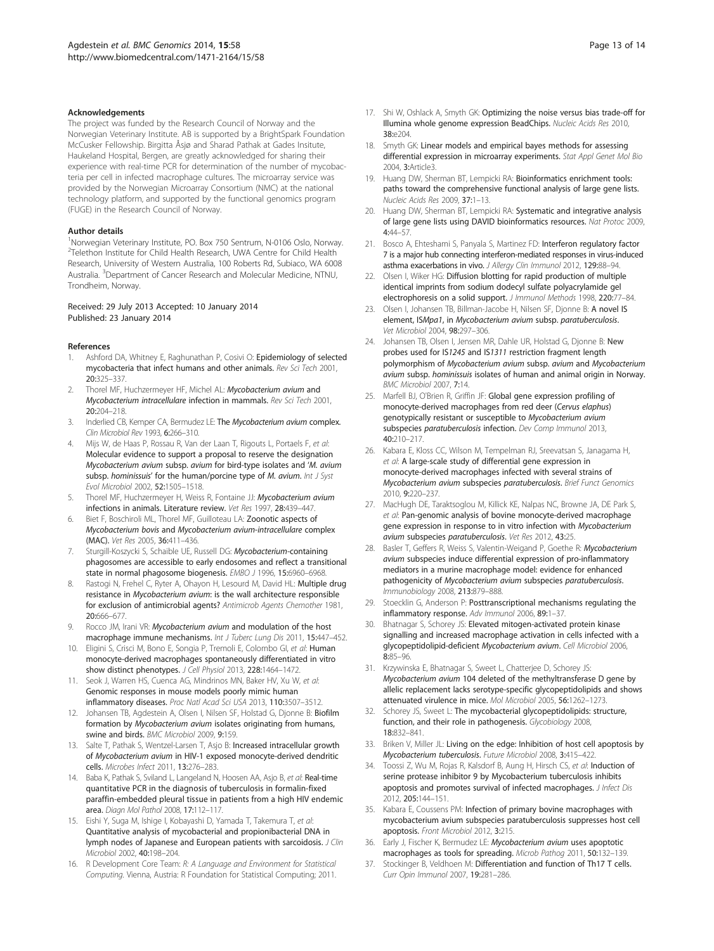#### <span id="page-12-0"></span>Acknowledgements

The project was funded by the Research Council of Norway and the Norwegian Veterinary Institute. AB is supported by a BrightSpark Foundation McCusker Fellowship. Birgitta Åsjø and Sharad Pathak at Gades Insitute, Haukeland Hospital, Bergen, are greatly acknowledged for sharing their experience with real-time PCR for determination of the number of mycobacteria per cell in infected macrophage cultures. The microarray service was provided by the Norwegian Microarray Consortium (NMC) at the national technology platform, and supported by the functional genomics program (FUGE) in the Research Council of Norway.

#### Author details

<sup>1</sup>Norwegian Veterinary Institute, PO. Box 750 Sentrum, N-0106 Oslo, Norway. <sup>2</sup>Telethon Institute for Child Health Research, UWA Centre for Child Health Research, University of Western Australia, 100 Roberts Rd, Subiaco, WA 6008 Australia. <sup>3</sup>Department of Cancer Research and Molecular Medicine, NTNU, Trondheim, Norway.

#### Received: 29 July 2013 Accepted: 10 January 2014 Published: 23 January 2014

#### References

- 1. Ashford DA, Whitney E, Raghunathan P, Cosivi O: Epidemiology of selected mycobacteria that infect humans and other animals. Rev Sci Tech 2001, 20:325–337.
- Thorel MF, Huchzermeyer HF, Michel AL: Mycobacterium avium and Mycobacterium intracellulare infection in mammals. Rev Sci Tech 2001, 20:204–218.
- 3. Inderlied CB, Kemper CA, Bermudez LE: The Mycobacterium avium complex. Clin Microbiol Rev 1993, 6:266–310.
- Mijs W, de Haas P, Rossau R, Van der Laan T, Rigouts L, Portaels F, et al: Molecular evidence to support a proposal to reserve the designation Mycobacterium avium subsp. avium for bird-type isolates and 'M. avium subsp. hominissuis' for the human/porcine type of M. avium. Int J Syst Evol Microbiol 2002, 52:1505–1518.
- 5. Thorel MF, Huchzermeyer H, Weiss R, Fontaine JJ: Mycobacterium avium infections in animals. Literature review. Vet Res 1997, 28:439–447.
- Biet F, Boschiroli ML, Thorel MF, Guilloteau LA: Zoonotic aspects of Mycobacterium bovis and Mycobacterium avium-intracellulare complex (MAC). Vet Res 2005, 36:411–436.
- Sturgill-Koszycki S, Schaible UE, Russell DG: Mycobacterium-containing phagosomes are accessible to early endosomes and reflect a transitional state in normal phagosome biogenesis. EMBO J 1996, 15:6960–6968.
- 8. Rastogi N, Frehel C, Ryter A, Ohayon H, Lesourd M, David HL: Multiple drug resistance in Mycobacterium avium: is the wall architecture responsible for exclusion of antimicrobial agents? Antimicrob Agents Chemother 1981, 20:666–677.
- Rocco JM, Irani VR: Mycobacterium avium and modulation of the host macrophage immune mechanisms. Int J Tuberc Lung Dis 2011, 15:447–452.
- 10. Eligini S, Crisci M, Bono E, Songia P, Tremoli E, Colombo GI, et al: Human monocyte-derived macrophages spontaneously differentiated in vitro show distinct phenotypes. J Cell Physiol 2013, 228:1464–1472.
- 11. Seok J, Warren HS, Cuenca AG, Mindrinos MN, Baker HV, Xu W, et al: Genomic responses in mouse models poorly mimic human inflammatory diseases. Proc Natl Acad Sci USA 2013, 110:3507–3512.
- 12. Johansen TB, Agdestein A, Olsen I, Nilsen SF, Holstad G, Djonne B: Biofilm formation by Mycobacterium avium isolates originating from humans, swine and birds. BMC Microbiol 2009, 9:159.
- 13. Salte T, Pathak S, Wentzel-Larsen T, Asjo B: Increased intracellular growth of Mycobacterium avium in HIV-1 exposed monocyte-derived dendritic cells. Microbes Infect 2011, 13:276–283.
- 14. Baba K, Pathak S, Sviland L, Langeland N, Hoosen AA, Asjo B, et al: Real-time quantitative PCR in the diagnosis of tuberculosis in formalin-fixed paraffin-embedded pleural tissue in patients from a high HIV endemic area. Diagn Mol Pathol 2008, 17:112–117.
- 15. Eishi Y, Suga M, Ishige I, Kobayashi D, Yamada T, Takemura T, et al: Quantitative analysis of mycobacterial and propionibacterial DNA in lymph nodes of Japanese and European patients with sarcoidosis. J Clin Microbiol 2002, 40:198–204.
- 16. R Development Core Team: R: A Language and Environment for Statistical Computing. Vienna, Austria: R Foundation for Statistical Computing; 2011.
- 17. Shi W, Oshlack A, Smyth GK: Optimizing the noise versus bias trade-off for Illumina whole genome expression BeadChips. Nucleic Acids Res 2010, 38:e204.
- 18. Smyth GK: Linear models and empirical bayes methods for assessing differential expression in microarray experiments. Stat Appl Genet Mol Bio 2004, 3:Article3.
- 19. Huang DW, Sherman BT, Lempicki RA: Bioinformatics enrichment tools: paths toward the comprehensive functional analysis of large gene lists. Nucleic Acids Res 2009, 37:1–13.
- 20. Huang DW, Sherman BT, Lempicki RA: Systematic and integrative analysis of large gene lists using DAVID bioinformatics resources. Nat Protoc 2009, 4:44–57.
- 21. Bosco A, Ehteshami S, Panyala S, Martinez FD: Interferon regulatory factor 7 is a major hub connecting interferon-mediated responses in virus-induced asthma exacerbations in vivo. J Allergy Clin Immunol 2012, 129:88-94.
- 22. Olsen I, Wiker HG: Diffusion blotting for rapid production of multiple identical imprints from sodium dodecyl sulfate polyacrylamide gel electrophoresis on a solid support. J Immunol Methods 1998, 220:77–84.
- 23. Olsen I, Johansen TB, Billman-Jacobe H, Nilsen SF, Djonne B: A novel IS element, ISMpa1, in Mycobacterium avium subsp. paratuberculosis. Vet Microbiol 2004, 98:297–306.
- 24. Johansen TB, Olsen I, Jensen MR, Dahle UR, Holstad G, Djonne B: New probes used for IS1245 and IS1311 restriction fragment length polymorphism of Mycobacterium avium subsp. avium and Mycobacterium avium subsp. hominissuis isolates of human and animal origin in Norway. BMC Microbiol 2007, 7:14.
- 25. Marfell BJ, O'Brien R, Griffin JF: Global gene expression profiling of monocyte-derived macrophages from red deer (Cervus elaphus) genotypically resistant or susceptible to Mycobacterium avium subspecies paratuberculosis infection. Dev Comp Immunol 2013, 40:210–217.
- 26. Kabara E, Kloss CC, Wilson M, Tempelman RJ, Sreevatsan S, Janagama H, et al: A large-scale study of differential gene expression in monocyte-derived macrophages infected with several strains of Mycobacterium avium subspecies paratuberculosis. Brief Funct Genomics 2010, 9:220–237.
- 27. MacHugh DE, Taraktsoglou M, Killick KE, Nalpas NC, Browne JA, DE Park S, et al: Pan-genomic analysis of bovine monocyte-derived macrophage gene expression in response to in vitro infection with Mycobacterium avium subspecies paratuberculosis. Vet Res 2012, 43:25.
- 28. Basler T, Geffers R, Weiss S, Valentin-Weigand P, Goethe R: Mycobacterium avium subspecies induce differential expression of pro-inflammatory mediators in a murine macrophage model: evidence for enhanced pathogenicity of Mycobacterium avium subspecies paratuberculosis. Immunobiology 2008, 213:879–888.
- Stoecklin G, Anderson P: Posttranscriptional mechanisms regulating the inflammatory response. Adv Immunol 2006, 89:1–37.
- 30. Bhatnagar S, Schorey JS: Elevated mitogen-activated protein kinase signalling and increased macrophage activation in cells infected with a glycopeptidolipid-deficient Mycobacterium avium. Cell Microbiol 2006, 8:85–96.
- 31. Krzywinska E, Bhatnagar S, Sweet L, Chatterjee D, Schorey JS: Mycobacterium avium 104 deleted of the methyltransferase D gene by allelic replacement lacks serotype-specific glycopeptidolipids and shows attenuated virulence in mice. Mol Microbiol 2005, 56:1262–1273.
- 32. Schorey JS, Sweet L: The mycobacterial glycopeptidolipids: structure, function, and their role in pathogenesis. Glycobiology 2008, 18:832–841.
- 33. Briken V, Miller JL: Living on the edge: Inhibition of host cell apoptosis by Mycobacterium tuberculosis. Future Microbiol 2008, 3:415–422.
- 34. Toossi Z, Wu M, Rojas R, Kalsdorf B, Aung H, Hirsch CS, et al: Induction of serine protease inhibitor 9 by Mycobacterium tuberculosis inhibits apoptosis and promotes survival of infected macrophages. J Infect Dis 2012, 205:144–151.
- 35. Kabara E, Coussens PM: Infection of primary bovine macrophages with mycobacterium avium subspecies paratuberculosis suppresses host cell apoptosis. Front Microbiol 2012, 3:215.
- Early J, Fischer K, Bermudez LE: Mycobacterium avium uses apoptotic macrophages as tools for spreading. Microb Pathog 2011, 50:132–139.
- 37. Stockinger B, Veldhoen M: Differentiation and function of Th17 T cells. Curr Opin Immunol 2007, 19:281–286.